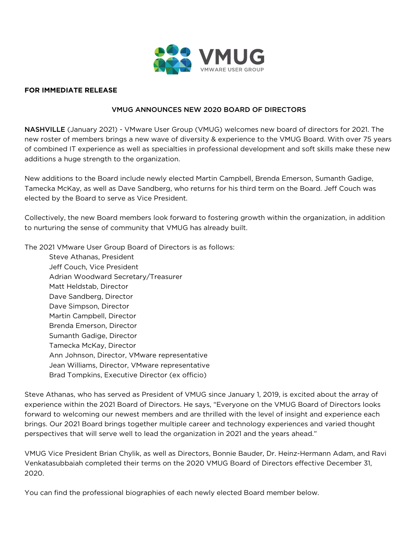

#### **FOR IMMEDIATE RELEASE**

### VMUG ANNOUNCES NEW 2020 BOARD OF DIRECTORS

NASHVILLE (January 2021) - VMware User Group (VMUG) welcomes new board of directors for 2021. The new roster of members brings a new wave of diversity & experience to the VMUG Board. With over 75 years of combined IT experience as well as specialties in professional development and soft skills make these new additions a huge strength to the organization.

New additions to the Board include newly elected Martin Campbell, Brenda Emerson, Sumanth Gadige, Tamecka McKay, as well as Dave Sandberg, who returns for his third term on the Board. Jeff Couch was elected by the Board to serve as Vice President.

Collectively, the new Board members look forward to fostering growth within the organization, in addition to nurturing the sense of community that VMUG has already built.

The 2021 VMware User Group Board of Directors is as follows:

[Steve Athanas, President](https://higherlogicdownload.s3.amazonaws.com/VMUG/48b31cbe-b47c-429b-a6a5-62ec9d9998da/UploadedImages/Press/Athanas_VMUG_2021_Press_Release.pdf) [Jeff Couch, Vice President](https://higherlogicdownload.s3.amazonaws.com/VMUG/48b31cbe-b47c-429b-a6a5-62ec9d9998da/UploadedImages/Press/Couch_VMUG_2021_Press_Release.pdf) [Adrian Woodward Secretary/Treasurer](https://higherlogicdownload.s3.amazonaws.com/VMUG/48b31cbe-b47c-429b-a6a5-62ec9d9998da/UploadedImages/Press/Woodward_VMUG_2021_Press_Release.pdf) Matt Heldstab, Director Dave Sandberg, Director Dave Simpson, Director [Martin Campbell, Director](https://higherlogicdownload.s3.amazonaws.com/VMUG/48b31cbe-b47c-429b-a6a5-62ec9d9998da/UploadedImages/Press/Campbell_VMUG_2021_Press_Release.pdf)  [Brenda Emerson, Director](https://higherlogicdownload.s3.amazonaws.com/VMUG/48b31cbe-b47c-429b-a6a5-62ec9d9998da/UploadedImages/Press/Emerson_VMUG_2021_Press_Release.pdf) [Sumanth Gadige, Director](https://higherlogicdownload.s3.amazonaws.com/VMUG/48b31cbe-b47c-429b-a6a5-62ec9d9998da/UploadedImages/Press/Gadige_VMUG_2021_Press_Release.pdf) [Tamecka McKay, Director](https://higherlogicdownload.s3.amazonaws.com/VMUG/48b31cbe-b47c-429b-a6a5-62ec9d9998da/UploadedImages/Press/McKay_VMUG_2021_Press_Release.pdf)  Ann Johnson, Director, VMware representative Jean Williams, Director, VMware representative Brad Tompkins, Executive Director (ex officio)

Steve Athanas, who has served as President of VMUG since January 1, 2019, is excited about the array of experience within the 2021 Board of Directors. He says, "Everyone on the VMUG Board of Directors looks forward to welcoming our newest members and are thrilled with the level of insight and experience each brings. Our 2021 Board brings together multiple career and technology experiences and varied thought perspectives that will serve well to lead the organization in 2021 and the years ahead."

VMUG Vice President Brian Chylik, as well as Directors, Bonnie Bauder, Dr. Heinz-Hermann Adam, and Ravi Venkatasubbaiah completed their terms on the 2020 VMUG Board of Directors effective December 31, 2020.

You can find the professional biographies of each newly elected Board member below.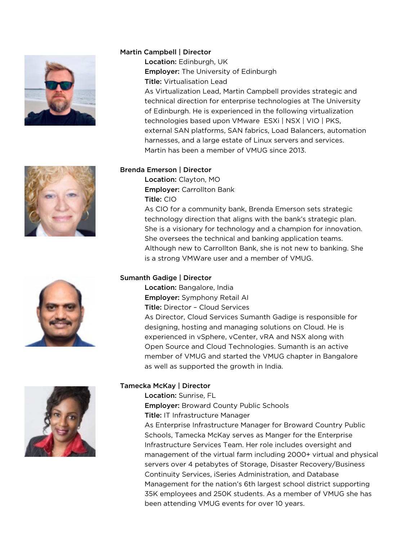







## Martin Campbell | Director

Location: Edinburgh, UK Employer: The University of Edinburgh Title: Virtualisation Lead

As Virtualization Lead, Martin Campbell provides strategic and technical direction for enterprise technologies at The University of Edinburgh. He is experienced in the following virtualization technologies based upon VMware ESXi | NSX | VIO | PKS, external SAN platforms, SAN fabrics, Load Balancers, automation harnesses, and a large estate of Linux servers and services. Martin has been a member of VMUG since 2013.

## Brenda Emerson | Director

Location: Clayton, MO Employer: Carrollton Bank Title: CIO

As CIO for a community bank, Brenda Emerson sets strategic technology direction that aligns with the bank's strategic plan. She is a visionary for technology and a champion for innovation. She oversees the technical and banking application teams. Although new to Carrollton Bank, she is not new to banking. She is a strong VMWare user and a member of VMUG.

# Sumanth Gadige | Director

Location: Bangalore, India Employer: Symphony Retail AI Title: Director – Cloud Services As Director, Cloud Services Sumanth Gadige is responsible for designing, hosting and managing solutions on Cloud. He is experienced in vSphere, vCenter, vRA and NSX along with Open Source and Cloud Technologies. Sumanth is an active member of VMUG and started the VMUG chapter in Bangalore as well as supported the growth in India.

# Tamecka McKay | Director

Location: Sunrise, FL

Employer: Broward County Public Schools

Title: IT Infrastructure Manager

As Enterprise Infrastructure Manager for Broward Country Public Schools, Tamecka McKay serves as Manger for the Enterprise Infrastructure Services Team. Her role includes oversight and management of the virtual farm including 2000+ virtual and physical servers over 4 petabytes of Storage, Disaster Recovery/Business Continuity Services, iSeries Administration, and Database Management for the nation's 6th largest school district supporting 35K employees and 250K students. As a member of VMUG she has been attending VMUG events for over 10 years.